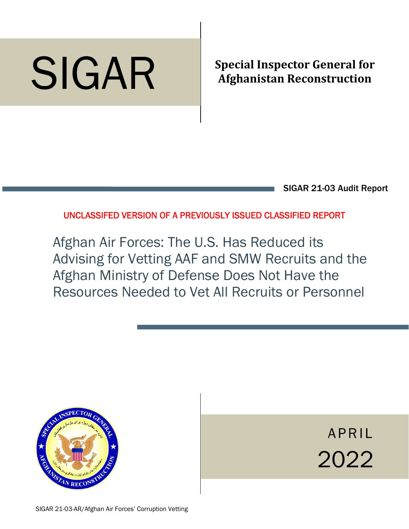# SIGAR

# **Special Inspector General for Afghanistan Reconstruction**

SIGAR 21-03 Audit Report

UNCLASSIFED VERSION OF A PREVIOUSLY ISSUED CLASSIFIED REPORT

Afghan Air Forces: The U.S. Has Reduced its Advising for Vetting AAF and SMW Recruits and the Afghan Ministry of Defense Does Not Have the Resources Needed to Vet All Recruits or Personnel



APRIL 2022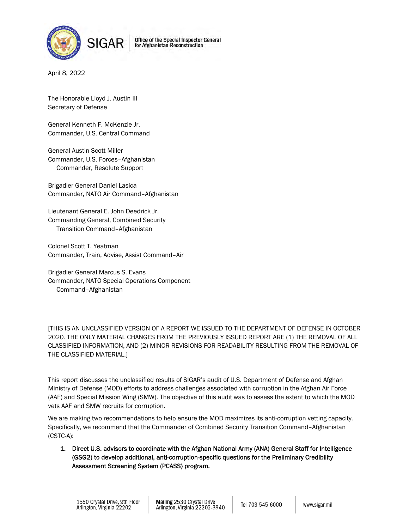

for Afghanistan Reconstruction

April 8, 2022

The Honorable Lloyd J. Austin III Secretary of Defense

General Kenneth F. McKenzie Jr. Commander, U.S. Central Command

General Austin Scott Miller Commander, U.S. Forces–Afghanistan Commander, Resolute Support

Brigadier General Daniel Lasica Commander, NATO Air Command–Afghanistan

Lieutenant General E. John Deedrick Jr. Commanding General, Combined Security Transition Command–Afghanistan

Colonel Scott T. Yeatman Commander, Train, Advise, Assist Command–Air

Brigadier General Marcus S. Evans Commander, NATO Special Operations Component Command–Afghanistan

[THIS IS AN UNCLASSIFIED VERSION OF A REPORT WE ISSUED TO THE DEPARTMENT OF DEFENSE IN OCTOBER 2020. THE ONLY MATERIAL CHANGES FROM THE PREVIOUSLY ISSUED REPORT ARE (1) THE REMOVAL OF ALL CLASSIFIED INFORMATION, AND (2) MINOR REVISIONS FOR READABILITY RESULTING FROM THE REMOVAL OF THE CLASSIFIED MATERIAL.]

This report discusses the unclassified results of SIGAR's audit of U.S. Department of Defense and Afghan Ministry of Defense (MOD) efforts to address challenges associated with corruption in the Afghan Air Force (AAF) and Special Mission Wing (SMW). The objective of this audit was to assess the extent to which the MOD vets AAF and SMW recruits for corruption.

We are making two recommendations to help ensure the MOD maximizes its anti-corruption vetting capacity. Specifically, we recommend that the Commander of Combined Security Transition Command–Afghanistan (CSTC-A):

1. Direct U.S. advisors to coordinate with the Afghan National Army (ANA) General Staff for Intelligence (GSG2) to develop additional, anti-corruption-specific questions for the Preliminary Credibility Assessment Screening System (PCASS) program.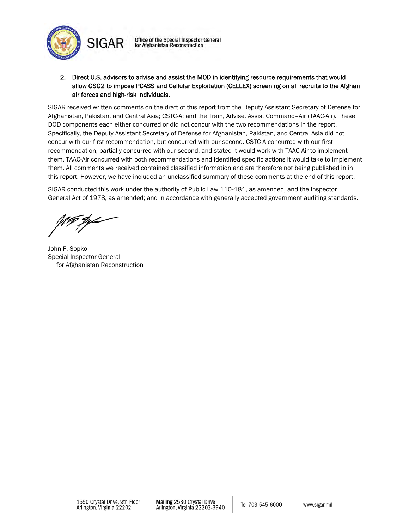



SIGAR received written comments on the draft of this report from the Deputy Assistant Secretary of Defense for Afghanistan, Pakistan, and Central Asia; CSTC-A; and the Train, Advise, Assist Command–Air (TAAC-Air). These DOD components each either concurred or did not concur with the two recommendations in the report. Specifically, the Deputy Assistant Secretary of Defense for Afghanistan, Pakistan, and Central Asia did not concur with our first recommendation, but concurred with our second. CSTC-A concurred with our first recommendation, partially concurred with our second, and stated it would work with TAAC-Air to implement them. TAAC-Air concurred with both recommendations and identified specific actions it would take to implement them. All comments we received contained classified information and are therefore not being published in in this report. However, we have included an unclassified summary of these comments at the end of this report.

SIGAR conducted this work under the authority of Public Law 110-181, as amended, and the Inspector General Act of 1978, as amended; and in accordance with generally accepted government auditing standards.

John F. Sopko Special Inspector General for Afghanistan Reconstruction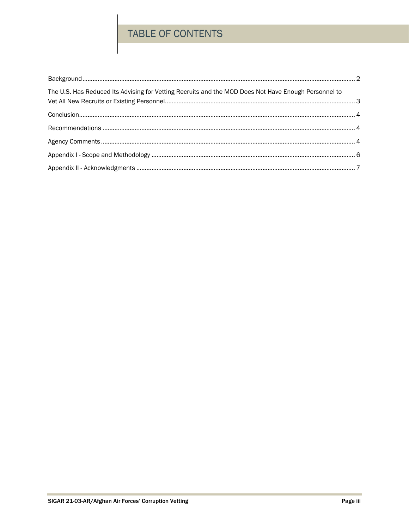## TABLE OF CONTENTS

| The U.S. Has Reduced Its Advising for Vetting Recruits and the MOD Does Not Have Enough Personnel to |  |
|------------------------------------------------------------------------------------------------------|--|
|                                                                                                      |  |
|                                                                                                      |  |
|                                                                                                      |  |
|                                                                                                      |  |
|                                                                                                      |  |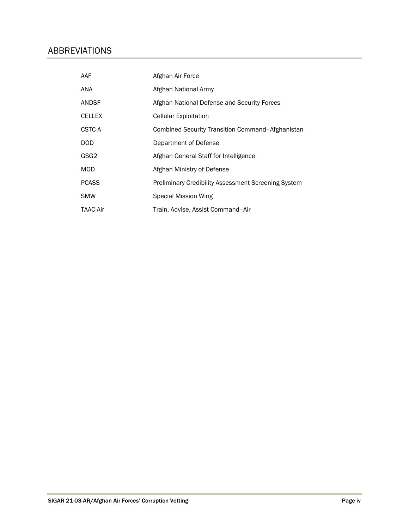#### ABBREVIATIONS

| AAF              | Afghan Air Force                                           |
|------------------|------------------------------------------------------------|
| ANA              | Afghan National Army                                       |
| <b>ANDSF</b>     | Afghan National Defense and Security Forces                |
| <b>CELLEX</b>    | <b>Cellular Exploitation</b>                               |
| CSTC-A           | Combined Security Transition Command-Afghanistan           |
| <b>DOD</b>       | Department of Defense                                      |
| GSG <sub>2</sub> | Afghan General Staff for Intelligence                      |
| <b>MOD</b>       | Afghan Ministry of Defense                                 |
| <b>PCASS</b>     | <b>Preliminary Credibility Assessment Screening System</b> |
| <b>SMW</b>       | Special Mission Wing                                       |
| <b>TAAC-Air</b>  | Train, Advise, Assist Command-Air                          |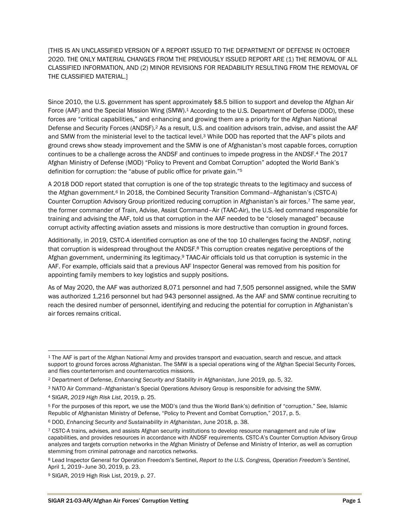[THIS IS AN UNCLASSIFIED VERSION OF A REPORT ISSUED TO THE DEPARTMENT OF DEFENSE IN OCTOBER 2020. THE ONLY MATERIAL CHANGES FROM THE PREVIOUSLY ISSUED REPORT ARE (1) THE REMOVAL OF ALL CLASSIFIED INFORMATION, AND (2) MINOR REVISIONS FOR READABILITY RESULTING FROM THE REMOVAL OF THE CLASSIFIED MATERIAL.]

Since 2010, the U.S. government has spent approximately \$8.5 billion to support and develop the Afghan Air Force (AAF) and the Special Mission Wing (SMW).<sup>1</sup> According to the U.S. Department of Defense (DOD), these forces are "critical capabilities," and enhancing and growing them are a priority for the Afghan National Defense and Security Forces (ANDSF).<sup>2</sup> As a result, U.S. and coalition advisors train, advise, and assist the AAF and SMW from the ministerial level to the tactical level.3 While DOD has reported that the AAF's pilots and ground crews show steady improvement and the SMW is one of Afghanistan's most capable forces, corruption continues to be a challenge across the ANDSF and continues to impede progress in the ANDSF.4 The 2017 Afghan Ministry of Defense (MOD) "Policy to Prevent and Combat Corruption" adopted the World Bank's definition for corruption: the "abuse of public office for private gain."5

A 2018 DOD report stated that corruption is one of the top strategic threats to the legitimacy and success of the Afghan government.<sup>6</sup> In 2018, the Combined Security Transition Command–Afghanistan's (CSTC-A) Counter Corruption Advisory Group prioritized reducing corruption in Afghanistan's air forces.7 The same year, the former commander of Train, Advise, Assist Command–Air (TAAC-Air), the U.S.-led command responsible for training and advising the AAF, told us that corruption in the AAF needed to be "closely managed" because corrupt activity affecting aviation assets and missions is more destructive than corruption in ground forces.

Additionally, in 2019, CSTC-A identified corruption as one of the top 10 challenges facing the ANDSF, noting that corruption is widespread throughout the ANDSF.<sup>8</sup> This corruption creates negative perceptions of the Afghan government, undermining its legitimacy.9 TAAC-Air officials told us that corruption is systemic in the AAF. For example, officials said that a previous AAF Inspector General was removed from his position for appointing family members to key logistics and supply positions.

As of May 2020, the AAF was authorized 8,071 personnel and had 7,505 personnel assigned, while the SMW was authorized 1,216 personnel but had 943 personnel assigned. As the AAF and SMW continue recruiting to reach the desired number of personnel, identifying and reducing the potential for corruption in Afghanistan's air forces remains critical.

 $\overline{a}$ 

<sup>1</sup> The AAF is part of the Afghan National Army and provides transport and evacuation, search and rescue, and attack support to ground forces across Afghanistan. The SMW is a special operations wing of the Afghan Special Security Forces, and flies counterterrorism and counternarcotics missions.

<sup>2</sup> Department of Defense, *Enhancing Security and Stability in Afghanistan*, June 2019, pp. 5, 32.

<sup>3</sup> NATO Air Command–Afghanistan's Special Operations Advisory Group is responsible for advising the SMW.

<sup>4</sup> SIGAR, *2019 High Risk List*, 2019, p. 25.

<sup>5</sup> For the purposes of this report, we use the MOD's (and thus the World Bank's) definition of "corruption." *See*, Islamic Republic of Afghanistan Ministry of Defense, "Policy to Prevent and Combat Corruption," 2017, p. 5.

<sup>6</sup> DOD, *Enhancing Security and Sustainability in Afghanistan*, June 2018, p. 38.

<sup>7</sup> CSTC-A trains, advises, and assists Afghan security institutions to develop resource management and rule of law capabilities, and provides resources in accordance with ANDSF requirements. CSTC-A's Counter Corruption Advisory Group analyzes and targets corruption networks in the Afghan Ministry of Defense and Ministry of Interior, as well as corruption stemming from criminal patronage and narcotics networks.

<sup>8</sup> Lead Inspector General for Operation Freedom's Sentinel, *Report to the U.S. Congress, Operation Freedom's Sentinel*, April 1, 2019–June 30, 2019, p. 23.

<sup>9</sup> SIGAR, 2019 High Risk List, 2019, p. 27.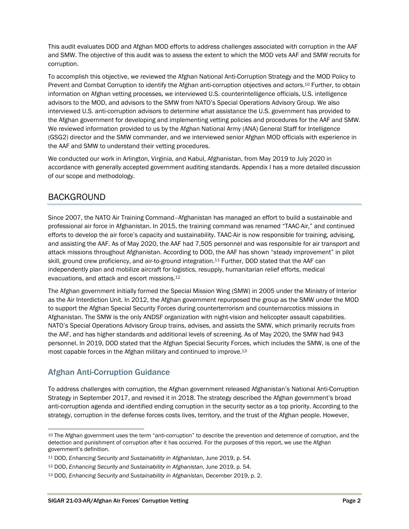This audit evaluates DOD and Afghan MOD efforts to address challenges associated with corruption in the AAF and SMW. The objective of this audit was to assess the extent to which the MOD vets AAF and SMW recruits for corruption.

To accomplish this objective, we reviewed the Afghan National Anti-Corruption Strategy and the MOD Policy to Prevent and Combat Corruption to identify the Afghan anti-corruption objectives and actors.10 Further, to obtain information on Afghan vetting processes, we interviewed U.S. counterintelligence officials, U.S. intelligence advisors to the MOD, and advisors to the SMW from NATO's Special Operations Advisory Group. We also interviewed U.S. anti-corruption advisors to determine what assistance the U.S. government has provided to the Afghan government for developing and implementing vetting policies and procedures for the AAF and SMW. We reviewed information provided to us by the Afghan National Army (ANA) General Staff for Intelligence (GSG2) director and the SMW commander, and we interviewed senior Afghan MOD officials with experience in the AAF and SMW to understand their vetting procedures.

We conducted our work in Arlington, Virginia, and Kabul, Afghanistan, from May 2019 to July 2020 in accordance with generally accepted government auditing standards. Appendix I has a more detailed discussion of our scope and methodology.

#### BACKGROUND

Since 2007, the NATO Air Training Command–Afghanistan has managed an effort to build a sustainable and professional air force in Afghanistan. In 2015, the training command was renamed "TAAC-Air," and continued efforts to develop the air force's capacity and sustainability. TAAC-Air is now responsible for training, advising, and assisting the AAF. As of May 2020, the AAF had 7,505 personnel and was responsible for air transport and attack missions throughout Afghanistan. According to DOD, the AAF has shown "steady improvement" in pilot skill, ground crew proficiency, and air-to-ground integration.11 Further, DOD stated that the AAF can independently plan and mobilize aircraft for logistics, resupply, humanitarian relief efforts, medical evacuations, and attack and escort missions.12

The Afghan government initially formed the Special Mission Wing (SMW) in 2005 under the Ministry of Interior as the Air Interdiction Unit. In 2012, the Afghan government repurposed the group as the SMW under the MOD to support the Afghan Special Security Forces during counterterrorism and counternarcotics missions in Afghanistan. The SMW is the only ANDSF organization with night-vision and helicopter assault capabilities. NATO's Special Operations Advisory Group trains, advises, and assists the SMW, which primarily recruits from the AAF, and has higher standards and additional levels of screening. As of May 2020, the SMW had 943 personnel. In 2019, DOD stated that the Afghan Special Security Forces, which includes the SMW, is one of the most capable forces in the Afghan military and continued to improve.13

#### Afghan Anti-Corruption Guidance

 $\overline{\phantom{a}}$ 

To address challenges with corruption, the Afghan government released Afghanistan's National Anti-Corruption Strategy in September 2017, and revised it in 2018. The strategy described the Afghan government's broad anti-corruption agenda and identified ending corruption in the security sector as a top priority. According to the strategy, corruption in the defense forces costs lives, territory, and the trust of the Afghan people. However,

<sup>10</sup> The Afghan government uses the term "anti-corruption" to describe the prevention and deterrence of corruption, and the detection and punishment of corruption after it has occurred. For the purposes of this report, we use the Afghan government's definition.

<sup>11</sup> DOD, *Enhancing Security and Sustainability in Afghanistan*, June 2019, p. 54.

<sup>12</sup> DOD, *Enhancing Security and Sustainability in Afghanistan*, June 2019, p. 54.

<sup>13</sup> DOD, *Enhancing Security and Sustainability in Afghanistan*, December 2019, p. 2.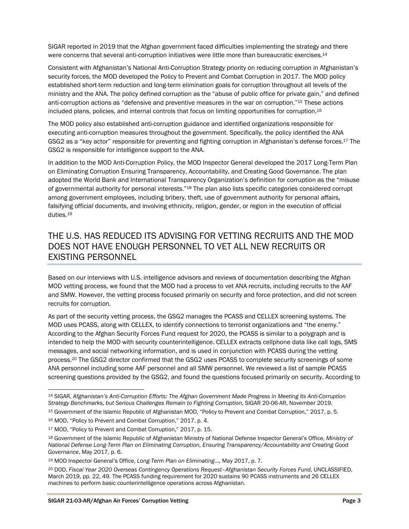SIGAR reported in 2019 that the Afghan government faced difficulties implementing the strategy and there were concerns that several anti-corruption initiatives were little more than bureaucratic exercises.<sup>14</sup>

Consistent with Afghanistan's National Anti-Corruption Strategy priority on reducing corruption in Afghanistan's security forces, the MOD developed the Policy to Prevent and Combat Corruption in 2017. The MOD policy established short-term reduction and long-term elimination goals for corruption throughout all levels of the ministry and the ANA. The policy defined corruption as the "abuse of public office for private gain," and defined anti-corruption actions as "defensive and preventive measures in the war on corruption."15 These actions included plans, policies, and internal controls that focus on limiting opportunities for corruption.16

The MOD policy also established anti-corruption guidance and identified organizations responsible for executing anti-corruption measures throughout the government. Specifically, the policy identified the ANA GSG2 as a "key actor" responsible for preventing and fighting corruption in Afghanistan's defense forces.17 The GSG2 is responsible for intelligence support to the ANA.

In addition to the MOD Anti-Corruption Policy, the MOD Inspector General developed the 2017 Long-Term Plan on Eliminating Corruption Ensuring Transparency, Accountability, and Creating Good Governance. The plan adopted the World Bank and International Transparency Organization's definition for corruption as the "misuse of governmental authority for personal interests."18 The plan also lists specific categories considered corrupt among government employees, including bribery, theft, use of government authority for personal affairs, falsifying official documents, and involving ethnicity, religion, gender, or region in the execution of official duties.19

#### THE U.S. HAS REDUCED ITS ADVISING FOR VETTING RECRUITS AND THE MOD DOES NOT HAVE ENOUGH PERSONNEL TO VET ALL NEW RECRUITS OR EXISTING PERSONNEL

Based on our interviews with U.S. intelligence advisors and reviews of documentation describing the Afghan MOD vetting process, we found that the MOD had a process to vet ANA recruits, including recruits to the AAF and SMW. However, the vetting process focused primarily on security and force protection, and did not screen recruits for corruption.

As part of the security vetting process, the GSG2 manages the PCASS and CELLEX screening systems. The MOD uses PCASS, along with CELLEX, to identify connections to terrorist organizations and "the enemy." According to the Afghan Security Forces Fund request for 2020, the PCASS is similar to a polygraph and is intended to help the MOD with security counterintelligence. CELLEX extracts cellphone data like call logs, SMS messages, and social networking information, and is used in conjunction with PCASS during the vetting process.20 The GSG2 director confirmed that the GSG2 uses PCASS to complete security screenings of some ANA personnel including some AAF personnel and all SMW personnel. We reviewed a list of sample PCASS screening questions provided by the GSG2, and found the questions focused primarily on security. According to

 $\overline{\phantom{a}}$ 

<sup>14</sup> SIGAR, *Afghanistan's Anti-Corruption Efforts: The Afghan Government Made Progress in Meeting its Anti-Corruption Strategy Benchmarks, but Serious Challenges Remain to Fighting Corruption*, SIGAR 20-06-AR, November 2019.

<sup>15</sup> Government of the Islamic Republic of Afghanistan MOD, "Policy to Prevent and Combat Corruption," 2017, p. 5.

<sup>16</sup> MOD, "Policy to Prevent and Combat Corruption," 2017, p. 4.

<sup>17</sup> MOD, "Policy to Prevent and Combat Corruption," 2017, p. 15.

<sup>18</sup> Government of the Islamic Republic of Afghanistan Ministry of National Defense Inspector General's Office, *Ministry of National Defense Long-Term Plan on Eliminating Corruption, Ensuring Transparency/Accountability and Creating Good Governance*, May 2017, p. 6.

<sup>19</sup> MOD Inspector General's Office, *Long-Term Plan on Eliminating*…, May 2017, p. 7.

<sup>20</sup> DOD, *Fiscal Year 2020 Overseas Contingency Operations Request–Afghanistan Security Forces Fund*, UNCLASSIFIED, March 2019, pp. 22, 49. The PCASS funding requirement for 2020 sustains 90 PCASS instruments and 26 CELLEX machines to perform basic counterintelligence operations across Afghanistan.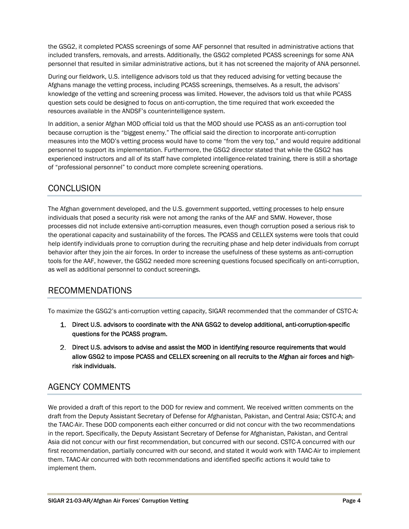the GSG2, it completed PCASS screenings of some AAF personnel that resulted in administrative actions that included transfers, removals, and arrests. Additionally, the GSG2 completed PCASS screenings for some ANA personnel that resulted in similar administrative actions, but it has not screened the majority of ANA personnel.

During our fieldwork, U.S. intelligence advisors told us that they reduced advising for vetting because the Afghans manage the vetting process, including PCASS screenings, themselves. As a result, the advisors' knowledge of the vetting and screening process was limited. However, the advisors told us that while PCASS question sets could be designed to focus on anti-corruption, the time required that work exceeded the resources available in the ANDSF's counterintelligence system.

In addition, a senior Afghan MOD official told us that the MOD should use PCASS as an anti-corruption tool because corruption is the "biggest enemy." The official said the direction to incorporate anti-corruption measures into the MOD's vetting process would have to come "from the very top," and would require additional personnel to support its implementation. Furthermore, the GSG2 director stated that while the GSG2 has experienced instructors and all of its staff have completed intelligence-related training, there is still a shortage of "professional personnel" to conduct more complete screening operations.

#### **CONCLUSION**

The Afghan government developed, and the U.S. government supported, vetting processes to help ensure individuals that posed a security risk were not among the ranks of the AAF and SMW. However, those processes did not include extensive anti-corruption measures, even though corruption posed a serious risk to the operational capacity and sustainability of the forces. The PCASS and CELLEX systems were tools that could help identify individuals prone to corruption during the recruiting phase and help deter individuals from corrupt behavior after they join the air forces. In order to increase the usefulness of these systems as anti-corruption tools for the AAF, however, the GSG2 needed more screening questions focused specifically on anti-corruption, as well as additional personnel to conduct screenings.

#### RECOMMENDATIONS

To maximize the GSG2's anti-corruption vetting capacity, SIGAR recommended that the commander of CSTC-A:

- 1. Direct U.S. advisors to coordinate with the ANA GSG2 to develop additional, anti-corruption-specific questions for the PCASS program.
- 2. Direct U.S. advisors to advise and assist the MOD in identifying resource requirements that would allow GSG2 to impose PCASS and CELLEX screening on all recruits to the Afghan air forces and highrisk individuals.

#### AGENCY COMMENTS

We provided a draft of this report to the DOD for review and comment. We received written comments on the draft from the Deputy Assistant Secretary of Defense for Afghanistan, Pakistan, and Central Asia; CSTC-A; and the TAAC-Air. These DOD components each either concurred or did not concur with the two recommendations in the report. Specifically, the Deputy Assistant Secretary of Defense for Afghanistan, Pakistan, and Central Asia did not concur with our first recommendation, but concurred with our second. CSTC-A concurred with our first recommendation, partially concurred with our second, and stated it would work with TAAC-Air to implement them. TAAC-Air concurred with both recommendations and identified specific actions it would take to implement them.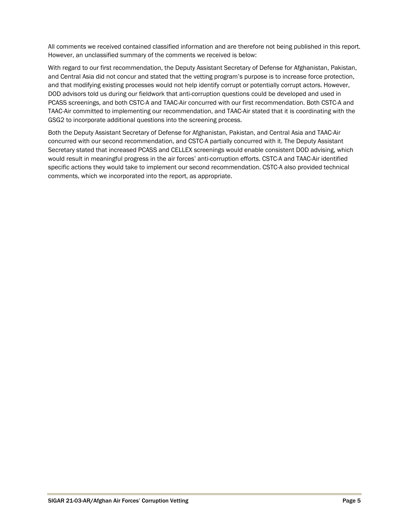All comments we received contained classified information and are therefore not being published in this report. However, an unclassified summary of the comments we received is below:

With regard to our first recommendation, the Deputy Assistant Secretary of Defense for Afghanistan, Pakistan, and Central Asia did not concur and stated that the vetting program's purpose is to increase force protection, and that modifying existing processes would not help identify corrupt or potentially corrupt actors. However, DOD advisors told us during our fieldwork that anti-corruption questions could be developed and used in PCASS screenings, and both CSTC-A and TAAC-Air concurred with our first recommendation. Both CSTC-A and TAAC-Air committed to implementing our recommendation, and TAAC-Air stated that it is coordinating with the GSG2 to incorporate additional questions into the screening process.

Both the Deputy Assistant Secretary of Defense for Afghanistan, Pakistan, and Central Asia and TAAC-Air concurred with our second recommendation, and CSTC-A partially concurred with it. The Deputy Assistant Secretary stated that increased PCASS and CELLEX screenings would enable consistent DOD advising, which would result in meaningful progress in the air forces' anti-corruption efforts. CSTC-A and TAAC-Air identified specific actions they would take to implement our second recommendation. CSTC-A also provided technical comments, which we incorporated into the report, as appropriate.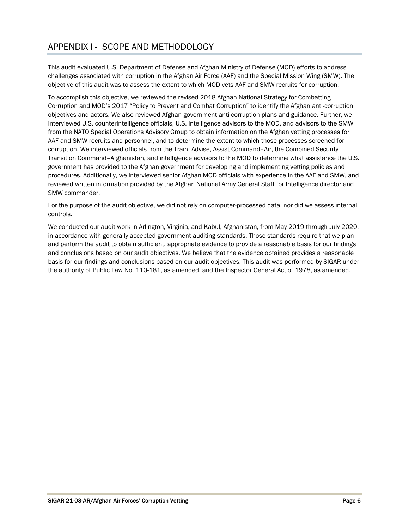### APPENDIX I - SCOPE AND METHODOLOGY

This audit evaluated U.S. Department of Defense and Afghan Ministry of Defense (MOD) efforts to address challenges associated with corruption in the Afghan Air Force (AAF) and the Special Mission Wing (SMW). The objective of this audit was to assess the extent to which MOD vets AAF and SMW recruits for corruption.

To accomplish this objective, we reviewed the revised 2018 Afghan National Strategy for Combatting Corruption and MOD's 2017 "Policy to Prevent and Combat Corruption" to identify the Afghan anti-corruption objectives and actors. We also reviewed Afghan government anti-corruption plans and guidance. Further, we interviewed U.S. counterintelligence officials, U.S. intelligence advisors to the MOD, and advisors to the SMW from the NATO Special Operations Advisory Group to obtain information on the Afghan vetting processes for AAF and SMW recruits and personnel, and to determine the extent to which those processes screened for corruption. We interviewed officials from the Train, Advise, Assist Command–Air, the Combined Security Transition Command–Afghanistan, and intelligence advisors to the MOD to determine what assistance the U.S. government has provided to the Afghan government for developing and implementing vetting policies and procedures. Additionally, we interviewed senior Afghan MOD officials with experience in the AAF and SMW, and reviewed written information provided by the Afghan National Army General Staff for Intelligence director and SMW commander.

For the purpose of the audit objective, we did not rely on computer-processed data, nor did we assess internal controls.

We conducted our audit work in Arlington, Virginia, and Kabul, Afghanistan, from May 2019 through July 2020, in accordance with generally accepted government auditing standards. Those standards require that we plan and perform the audit to obtain sufficient, appropriate evidence to provide a reasonable basis for our findings and conclusions based on our audit objectives. We believe that the evidence obtained provides a reasonable basis for our findings and conclusions based on our audit objectives. This audit was performed by SIGAR under the authority of Public Law No. 110-181, as amended, and the Inspector General Act of 1978, as amended.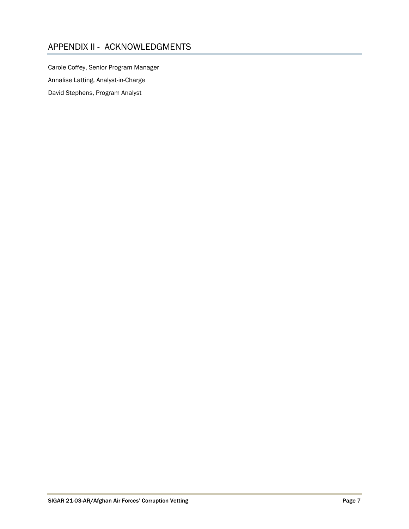#### APPENDIX II - ACKNOWLEDGMENTS

Carole Coffey, Senior Program Manager Annalise Latting, Analyst-in-Charge David Stephens, Program Analyst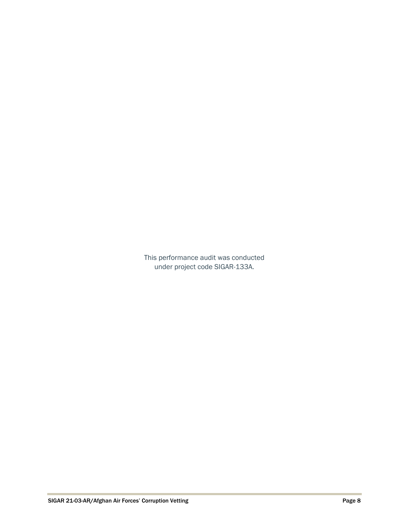This performance audit was conducted under project code SIGAR-133A.